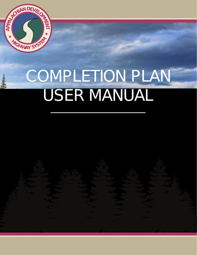

# COMPLETION PLAN USER MANUAL

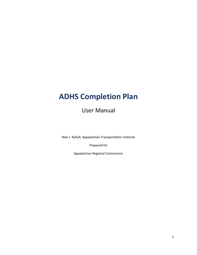# **ADHS Completion Plan**

User Manual

Nick J. Rahall, Appalachian Transportation Institute

Prepared for

Appalachian Regional Commission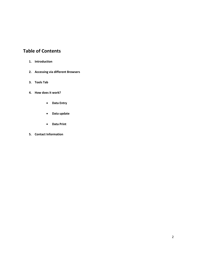# **Table of Contents**

- **1. Introduction**
- **2. Accessing via different Browsers**
- **3. Tools Tab**
- **4. How does it work?**
	- **Data Entry**
	- **Data update**
	- **Data Print**
- **5. Contact Information**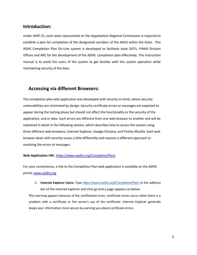### **Introduction:**

Under MAP-21, each state represented on the Appalachian Regional Commission is required to establish a plan for completion of the designated corridors of the ADHS within the State. This ADHS Completion Plan On-Line system is developed to facilitate state DOTs, FHWA Division Offices and ARC for the development of the ADHS completion plan effectively. This instruction manual is to assist the users of the system to get familiar with the system operation while maintaining security of the data.

#### **Accessing via different Browsers:**

The completion plan web application was developed with security in mind, where security vulnerabilities are minimized by design. Security certificate errors or messages are expected to appear during the testing phase but should not affect the functionality or the security of the application, and or data. Such errors are different from one web browser to another and will be explained in detail in the following section, which describes how to access the system using three different web browsers; Internet Explorer, Google Chrome, and Firefox Mozilla. Each web browser deals with security issues a little differently and requires a different approach to resolving the errors or messages.

#### **Web Application URL**:<https://www.eadhs.org/CompletionPlan/>

For your convenience, a link to the Completion Plan web application is available on the ADHS portal; [www.eadhs.org](http://www.eadhs.org/)

1. **Internet Explorer Users:** Type <https://www.eadhs.org/CompletionPlan/> in the address bar of the internet explorer and click go and a page appears as below.

**T**his warning appears because of the certification error, certificate errors occur when there is a problem with a certificate or the server's use of the certificate. Internet Explorer generally keeps your information more secure by warning you about certificate errors.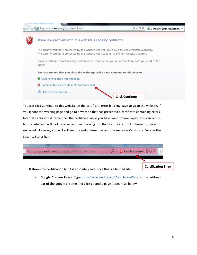

You can click Continue to this website on the certificate error blocking page to go to the website. If you ignore the warning page and go to a website that has presented a certificate containing errors, Internet Explorer will remember the certificate while you have your browser open. You can return to the site and will not receive another warning for that certificate until Internet Explorer is restarted. However, you will still see the red address bar and the message Certificate Error in the Security Status bar.



2. **Google Chrome Users:** Type <https://www.eadhs.org/CompletionPlan/> in the address bar of the google chrome and click go and a page appears as below.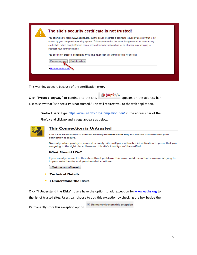

This warning appears because of the certification error.

| Click "Proceed anyway" to continue to the site.                                                  | X bttps://w<br>$\sim$ $\sim$ $\sim$ $\sim$ $\sim$ appears on the address bar |
|--------------------------------------------------------------------------------------------------|------------------------------------------------------------------------------|
| just to show that "site security is not trusted." This will redirect you to the web application. |                                                                              |

3. **Firefox Users:** Type <https://www.eadhs.org/CompletionPlan/> in the address bar of the

Firefox and click go and a page appears as below.



#### **This Connection is Untrusted**

You have asked Firefox to connect securely to www.eadhs.org, but we can't confirm that your connection is secure.

Normally, when you try to connect securely, sites will present trusted identification to prove that you are going to the right place. However, this site's identity can't be verified.

#### **What Should I Do?**

If you usually connect to this site without problems, this error could mean that someone is trying to impersonate the site, and you shouldn't continue.

Get me out of here!

- **Technical Details**
- $\blacktriangleright$  I Understand the Risks

Click **"I Understand the Risks".** Users have the option to add exception for [www.eadhs.org](http://www.eadhs.org/) to

the list of trusted sites. Users can choose to add this exception by checking the box beside the

Permanently store this exception option.

Permanently store this exception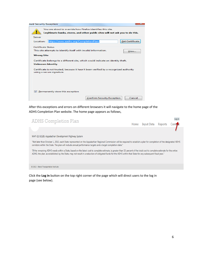| <b>Add Security Exception</b>                                                                                                                |
|----------------------------------------------------------------------------------------------------------------------------------------------|
| You are about to override how Firefox identifies this site.<br>Legitimate banks, stores, and other public sites will not ask you to do this. |
| Server                                                                                                                                       |
| <b>Get Certificate</b><br>https://www.eadhs.org/CompletionPlan/<br>Location:                                                                 |
| <b>Certificate Status</b>                                                                                                                    |
| This site attempts to identify itself with invalid information.<br>View                                                                      |
| <b>Wrong Site</b>                                                                                                                            |
| Certificate belongs to a different site, which could indicate an identity theft.                                                             |
| <b>Unknown Identity</b>                                                                                                                      |
| Certificate is not trusted, because it hasn't been verified by a recognized authority<br>using a secure signature.                           |
|                                                                                                                                              |
|                                                                                                                                              |
|                                                                                                                                              |
| $\nabla$ Permanently store this exception                                                                                                    |
| <b>Confirm Security Exception</b><br>Cancel                                                                                                  |

After this exceptions and errors on different browsers it will navigate to the home page of the ADHS Completion Plan website. The home page appears as follows,

| <b>ADHS Completion Plan</b>                                                                                                                                                                                                                                                                                                                   |                               | Log in |
|-----------------------------------------------------------------------------------------------------------------------------------------------------------------------------------------------------------------------------------------------------------------------------------------------------------------------------------------------|-------------------------------|--------|
|                                                                                                                                                                                                                                                                                                                                               | Home Input Data Reports Conte |        |
|                                                                                                                                                                                                                                                                                                                                               |                               |        |
| MAP-21 §1528. Appalachian Development Highway System                                                                                                                                                                                                                                                                                          |                               |        |
| "Not later than October 1, 2013, each State represented on the Appalachian Regional Commission will be required to establish a plan for completion of the designated ADHS<br>corridors within the State. The plan will include annual performance targets and a target completion date."                                                      |                               |        |
| "If the remaining ADHS needs within a State, based on the latest cost to complete estimate, is greater than 15 percent of the total cost to complete estimate for the entire<br>ADHS, the plan, as established by the State, may not result in a reduction of obligated funds for the ADHS within that State for any subsequent fiscal year." |                               |        |
| © 2013 - Rahall Transportation Institute                                                                                                                                                                                                                                                                                                      |                               |        |
| Click the Log in button on the top right corner of the page which will direct users to the log in                                                                                                                                                                                                                                             |                               |        |

Click the **Log in** button on the top right corner of the page which will direct users to the log in page (see below).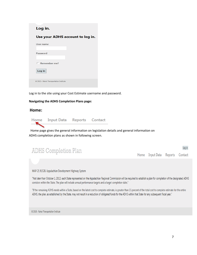#### Log in.

#### Use your ADHS account to log in.

| User name                                |  |
|------------------------------------------|--|
| Password                                 |  |
| $\Box$ Remember me?                      |  |
| Log in                                   |  |
| @ 2013 - Rahall Transportation Institute |  |

Log in to the site using your Cost Estimate username and password.

#### **Navigating the ADHS Completion Plans page:**

#### **Home:**



Home page gives the general information on legislation details and general information on ADHS completion plans as shown in following screen.

| <b>ADHS Completion Plan</b> |                                 | Log in |
|-----------------------------|---------------------------------|--------|
|                             | Home Input Data Reports Contact |        |
|                             |                                 |        |

MAP-21 §1528. Appalachian Development Highway System

"Not later than October 1, 2013, each State represented on the Appalachian Regional Commission will be required to establish a plan for completion of the designated ADHS corridors within the State. The plan will include annual performance targets and a target completion date."

"If the remaining ADHS needs within a State, based on the latest cost to complete estimate, is greater than 15 percent of the total cost to complete estimate for the entire ADHS, the plan, as established by the State, may not result in a reduction of obligated funds for the ADHS within that State for any subsequent fiscal year."

@ 2013 - Rahall Transportation Institute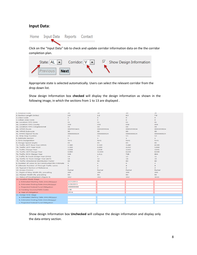#### **Input Data**:



Click on the "Input Data" tab to check and update corridor information data on the the corridor completion plan.



Appropriate state is selected automatically. Users can select the relevant corridor from the drop down list.

Show design Information box **checked** will display the design information as shown in the following image, in which the sections from 1 to 13 are displayed .

| 1. Finance Code                                    | 20              | 20               | 20              | 21              |
|----------------------------------------------------|-----------------|------------------|-----------------|-----------------|
| 2. Section Length (miles)                          | 2.9             | 2.2              | 8.5             | 7.8             |
| 3. Class Code                                      | R               | $\mathsf{R}$     | $\mathsf R$     | $\mathsf R$     |
| 3. Urban Area Code                                 | $\circ$         | $\circ$          | $\circ$         | $\circ$         |
| 4a. Location: FIPS State                           | 01              | O1               | 01              | 01              |
| 4a. Location: FIPS County                          | 059             | 059              | 059             | 059             |
| 4a. Location: FIPS Congressional                   | 04              | 04               | 04              | 04              |
| 4b. HPMS Route                                     | 00XP059A01      | 00XS059024       | 00XS059024      | 00XS059024      |
| 4b. HPMS Subroute                                  | 00 <sub>o</sub> | 00 <sub>o</sub>  | 00 <sub>o</sub> | 00 <sub>o</sub> |
| 4c. HPMS Signed Route                              | 0000000024      | 0000000024       | 0000000024      | 0000000024      |
| 4c. Strip Map Number                               | V1              | V1               | V1              | V <sub>2</sub>  |
| 5. Estimate Section                                | $\mathbf{1}$    | $\mathbf{1}$     | $\mathbf{1}$    | $\mathbf{1}$    |
| 5. NHS Designation                                 | <b>NHS</b>      | <b>NHS</b>       | <b>NHS</b>      | <b>NHS</b>      |
| 6. Design Speed (mph)                              | 65              | 65               | 65              | 65              |
| 7a. Traffic: ADT-Base Year (2010)                  | 2,340           | 6,160            | 3,440           | 4,180           |
| 7b. Traffic: ADT-Year 2020                         | 3,300           | 8,690            | 4,850           | 5,890           |
| 7c. Traffic: Design Year                           | 2,028           | 2,028            | 2,031           | 2,031           |
| 7d. Traffic: ADT-Design Year                       | 4,990           | 12,830           | 6,620           | 8,040           |
| 7e. Traffic: DHV-Design Year                       | 549             | 1,411            | 728             | 804             |
| 7f. Traffic: % Truck Design Year (DHV)             | 14              | $\mathbf{Q}$     | 12              | 11              |
| 7q. Traffic: % Truck Design Year (ADT)             | 18              | 12               | 16              | 15              |
| 7h. Traffic: Directional Distribution Factor       | 60              | 60               | 60              | 60              |
| 8. Number of Lanes to be Constructed this Estimate | $\circ$         | $\Omega$         | $\circ$         | $\overline{2}$  |
| 9. Ultimate Number of Through Traffic Lanes        | $\overline{A}$  | $\boldsymbol{A}$ | $\overline{4}$  | 4               |
| 10. Typical X-Section of Reference                 | $\mathbf{1}$    | $\overline{2}$   | $\overline{2}$  | $\overline{2}$  |
| 10. Access Control                                 | Partial         | Partial          | Partial         | Partial         |
| 11. Right-of-Way Width (ft), prevailing            | 300             | 300              | 300             | 300             |
| 12. Median Width (ft), prevailing                  | 54              | 54               | 54              | 54              |
| 13. Status of Development (Figure 4)               | 3A2             | 3A2              | 3A2             | 3A3C            |
| 14. Location Study Stage                           |                 |                  |                 |                 |
| a. Estimated Starting Date (mm/dd/yyyy)            | 2/21/2013       |                  |                 |                 |
| b. Estimated Ending Date (mm/dd/yyyy)              | 5/30/2013       |                  |                 |                 |
| c. Projected Federal Fund Obligation               | 450000000       |                  |                 |                 |
| d. Funding Sources/FMIS Codes                      | L98             |                  |                 |                 |
| e. Year of Obligation                              | 2014            |                  |                 |                 |
| 15. Design R/W Stage                               |                 |                  |                 |                 |
| a. Estimated Starting Date (mm/dd/yyyy)            |                 |                  |                 |                 |
| b. Estimated Ending Date (mm/dd/yyyy)              |                 |                  |                 |                 |
| c. Projected Federal Fund Obligation               |                 |                  |                 |                 |

Show design Information box **Unchecked** will collapse the design information and display only the data entery section.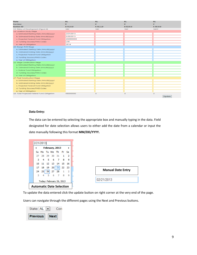| <b>State</b>                                | <b>AL</b>   | <b>AL</b>   | <b>AL</b>    | <b>AL</b>         |
|---------------------------------------------|-------------|-------------|--------------|-------------------|
| Corridor                                    | $\mathbf v$ | $\mathbf v$ | $\mathbf{v}$ | $\mathbf v$       |
| <b>Section ID</b>                           | A 01.0.0    | A 01.1.0    | A 02.0.0     | A 03.0.0          |
| 13. Status of Development (Figure 4)        | 3A2         | 3A2         | 3A2          | 3A <sub>3</sub> C |
| 14. Location Study Stage                    |             |             |              |                   |
| a. Estimated Starting Date (mm/dd/yyyy)     | 2/21/2013   |             |              |                   |
| b. Estimated Ending Date (mm/dd/yyyy)       | 5/30/2013   |             |              |                   |
| c. Projected Federal Fund Obligation        | 450000000   |             |              |                   |
| d. Funding Sources/FMIS Codes               | L98         |             |              |                   |
| e. Year of Obligation                       | 2014        |             |              |                   |
| 15. Design R/W Stage                        |             |             |              |                   |
| a. Estimated Starting Date (mm/dd/yyyy)     |             |             |              |                   |
| b. Estimated Ending Date (mm/dd/yyyy)       |             |             |              |                   |
| c. Projected Federal Fund Obligation        |             |             |              |                   |
| d. Funding Sources/FMIS Codes               |             |             |              |                   |
| e. Year of Obligation                       |             |             |              |                   |
| 16. Stage Construction Stage                |             |             |              |                   |
| a. Estimated Starting Date (mm/dd/yyyy)     |             |             |              |                   |
| b. Estimated Ending Date (mm/dd/yyyy)       |             |             |              |                   |
| c. Federal Fund Obligation                  |             |             |              |                   |
| d. Funding Sources/FMIS Codes               |             |             |              |                   |
| e. Year of Obligation                       |             |             |              |                   |
| 17. Final Construction Stage                |             |             |              |                   |
| a. Estimated Starting Date (mm/dd/yyyy)     |             |             |              |                   |
| b. Estimated Ending Date (mm/dd/yyyy)       |             |             |              |                   |
| c. Projected Federal Fund Obligation        |             |             |              |                   |
| d. Funding Sources/FMIS Codes               |             |             |              |                   |
| e. Year of Obligation                       |             |             |              |                   |
| 18. Total Projected Federal Fund Obligation | 450000000   | $\circ$     | $\circ$      | $\circ$           |
|                                             |             |             |              | <b>Update</b>     |

#### **Data Entry:**

The data can be entered by selecting the appropriate box and manually typing in the data. Field designated for date selection allows users to either add the date from a calendar or input the date manually following this format **MM/DD/YYYY.**

|                          |    |       |                                 |     |       | 2/21/2013 |    |
|--------------------------|----|-------|---------------------------------|-----|-------|-----------|----|
|                          | Þ  |       | February, 2013                  |     |       |           |    |
|                          |    |       | Su Mo Tu We The Frisa           |     |       |           |    |
|                          | 2  | 1     | - 31                            |     | 29 30 | 28        | 27 |
|                          | 9  | 8     | - 7                             | 6   | 5     | 4         | з  |
|                          | 16 | 15    | 14                              | 13. | 12.   | 11        | 10 |
|                          |    | 22 23 | 20 21                           |     |       | 18 19     | 17 |
| <b>Manual Date Entry</b> | 2  |       | 28                              | 27  | 26    | 25        | 24 |
|                          | 9  | 8     |                                 | 6   | 5     | 4         | з  |
| 02/21/2013               |    |       | Today: February 26, 2013        |     |       |           |    |
|                          |    |       | <b>Automatic Date Selection</b> |     |       |           |    |

To update the data entered click the update button on right corner at the very end of the page.

Users can navigate through the different pages using the Next and Previous buttons.

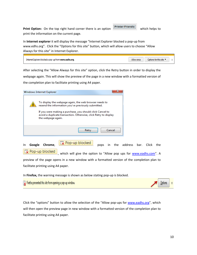**Print Option:** On the top right hand corner there is an option **Printer-Friendly** which helps to print the information on the current page.

In **Internet explorer** it will display the message "Internet Explorer blocked a pop-up from www.edhs.org". Click the "Options for this site" button, which will allow users to choose "Allow Always for this site" in Internet Explorer.

| Inter<br>' oro | Allow once | this site<br><b>INTIOP</b> |  |
|----------------|------------|----------------------------|--|
|                |            |                            |  |

After selecting the "Allow Always for this site" option, click the Retry button in order to display the

webpage again. This will show the preview of the page in a new window with a formatted version of the completion plan to facilitate printing using A4 paper.

|    |        | Windows Internet Explorer |                                                                                                                                                                                                                                                |       |      |        |             |            |     |
|----|--------|---------------------------|------------------------------------------------------------------------------------------------------------------------------------------------------------------------------------------------------------------------------------------------|-------|------|--------|-------------|------------|-----|
|    |        | the webpage again.        | To display the webpage again, the web browser needs to<br>resend the information you've previously submitted.<br>If you were making a purchase, you should click Cancel to<br>avoid a duplicate transaction. Otherwise, click Retry to display |       |      |        |             |            |     |
|    |        |                           |                                                                                                                                                                                                                                                | Retry |      | Cancel |             |            |     |
| In | Google | Chrome,                   | $\overline{\mathbf{L}}$ Pop-up blocked                                                                                                                                                                                                         |       | pops | ın     | the address | bar. Click | the |

Pop-up blocked which will give the option to "Allow pop ups for [www.eadhs.com](http://www.eadhs.com/)". A preview of the page opens in a new window with a formatted version of the completion plan to facilitate printing using A4 paper.

In **Firefox,** the warning message is shown as below stating pop-up is blocked.

Firefox prevented this site from opening a pop-up window.

Click the "options" button to allow the selection of the "Allow pop-ups for [www.eadhs.org](http://www.eadhs.org/)", which will then open the preview page in new window with a formatted version of the completion plan to facilitate printing using A4 paper.

Options

 $\chi$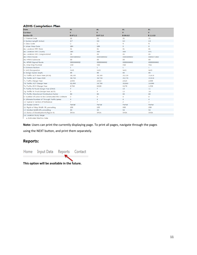#### **ADHS Completion Plan**

| <b>State</b>                                       | <b>AL</b>      | <b>AL</b>      | <b>AL</b>      | <b>AL</b>      |
|----------------------------------------------------|----------------|----------------|----------------|----------------|
| <b>Corridor</b>                                    | $\mathbf v$    | $\mathbf v$    | v              | $\mathbf v$    |
| <b>Section ID</b>                                  | B 07.2.2       | B 07.3.0       | B 09.0.0       | B 11.0.0       |
| 1. Finance Code                                    | 21             | 21             | 21             | 21             |
| 2. Section Length (miles)                          | 2.7            | 0.6            | 6.4            | 2.3            |
| 3. Class Code                                      | U              | U              | R              | R              |
| 3. Urban Area Code                                 | 184            | 184            | $\Omega$       | $\circ$        |
| 4a. Location: FIPS State                           | 01             | 01             | 01             | 01             |
| 4a. Location: FIPS County                          | 089            | 089            | 089            | 071            |
| 4a. Location: FIPS Congressional                   | 05             | 05             | 05             | 05             |
| 4b. HPMS Route                                     | 00XS089002     | 00XS089002     | 00XS089002     | 00XS071002     |
| 4b. HPMS Subroute                                  | 00             | 00             | 00             | 00             |
| 4c. HPMS Signed Route                              | 0000000002     | 0000000002     | 0000000002     | 0000000002     |
| 4c. Strip Map Number                               | V10            | V10            | V10            | V11            |
| 5. Estimate Section                                | $\mathbf{1}$   | $\mathbf{1}$   | $\mathbf{1}$   | $\mathbf{1}$   |
| 5. NHS Designation                                 | <b>NHS</b>     | <b>NHS</b>     | <b>NHS</b>     | <b>NHS</b>     |
| 6. Design Speed (mph)                              | 65             | 65             | 65             | 65             |
| 7a. Traffic: ADT-Base Year (2010)                  | 28,180         | 28,180         | 20,120         | 15,610         |
| 7b. Traffic: ADT-Year 2020                         | 39,730         | 39,730         | 28,370         | 22,010         |
| 7c. Traffic: Design Year                           | 2,036          | 2,022          | 2,025          | 2,000          |
| 7d. Traffic: ADT-Design Year                       | 61,490         | 54,700         | 38,860         | 14,090         |
| 7e. Traffic: DHV-Design Year                       | 6,764          | 6,020          | 4,270          | 1,550          |
| 7f. Traffic: % Truck Design Year (DHV)             | $\overline{7}$ | $\overline{7}$ | 10             | 11             |
| 7g. Traffic: % Truck Design Year (ADT)             | 9              | 9              | 13             | 14             |
| 7h. Traffic: Directional Distribution Factor       | 60             | 60             | 60             | 60             |
| 8. Number of Lanes to be Constructed this Estimate | $\mathbf 0$    | $\bullet$      | $\mathbf 0$    | $\mathbf 0$    |
| 9. Ultimate Number of Through Traffic Lanes        | 4              | 4              | 4              | 4              |
| 10. Typical X-Section of Reference                 | 7              | 7              | $\overline{2}$ | $\overline{2}$ |
| 10. Access Control                                 | Partial        | Partial        | Partial        | Partial        |
| 11. Right-of-Way Width (ft), prevailing            | 150            | 150            | 300            | 209            |
| 12. Median Width (ft), prevailing                  | 30             | 30             | 54             | 54             |
| 13. Status of Development (Figure 4)               | 3A3A           | 3A3A           | 3A3A           | 3A3A           |
| 14. Location Study Stage                           |                |                |                |                |

a. Estimated Starting Date

#### **Note:** Users can print the currently displaying page. To print all pages, navigate through the pages

using the NEXT button, and print them separately.

# **Reports:**